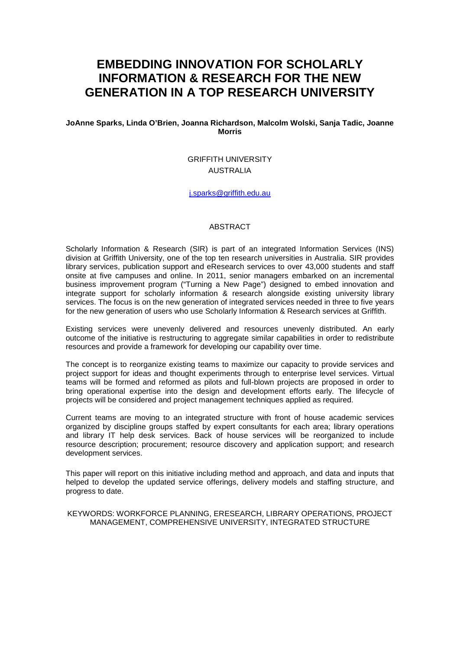# **EMBEDDING INNOVATION FOR SCHOLARLY INFORMATION & RESEARCH FOR THE NEW GENERATION IN A TOP RESEARCH UNIVERSITY**

**JoAnne Sparks, Linda O'Brien, Joanna Richardson, Malcolm Wolski, Sanja Tadic, Joanne Morris**

# GRIFFITH UNIVERSITY AUSTRALIA

#### [j.sparks@griffith.edu.au](mailto:j.sparks@griffith.edu.au)

#### ABSTRACT

Scholarly Information & Research (SIR) is part of an integrated Information Services (INS) division at Griffith University, one of the top ten research universities in Australia. SIR provides library services, publication support and eResearch services to over 43,000 students and staff onsite at five campuses and online. In 2011, senior managers embarked on an incremental business improvement program ("Turning a New Page") designed to embed innovation and integrate support for scholarly information & research alongside existing university library services. The focus is on the new generation of integrated services needed in three to five years for the new generation of users who use Scholarly Information & Research services at Griffith.

Existing services were unevenly delivered and resources unevenly distributed. An early outcome of the initiative is restructuring to aggregate similar capabilities in order to redistribute resources and provide a framework for developing our capability over time.

The concept is to reorganize existing teams to maximize our capacity to provide services and project support for ideas and thought experiments through to enterprise level services. Virtual teams will be formed and reformed as pilots and full-blown projects are proposed in order to bring operational expertise into the design and development efforts early. The lifecycle of projects will be considered and project management techniques applied as required.

Current teams are moving to an integrated structure with front of house academic services organized by discipline groups staffed by expert consultants for each area; library operations and library IT help desk services. Back of house services will be reorganized to include resource description; procurement; resource discovery and application support; and research development services.

This paper will report on this initiative including method and approach, and data and inputs that helped to develop the updated service offerings, delivery models and staffing structure, and progress to date.

KEYWORDS: WORKFORCE PLANNING, ERESEARCH, LIBRARY OPERATIONS, PROJECT MANAGEMENT, COMPREHENSIVE UNIVERSITY, INTEGRATED STRUCTURE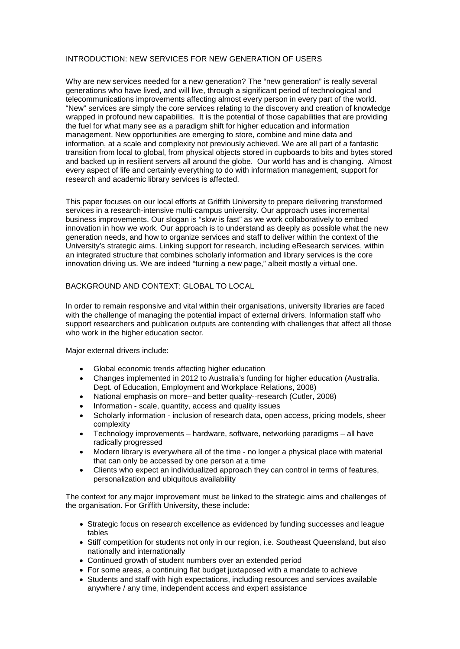### INTRODUCTION: NEW SERVICES FOR NEW GENERATION OF USERS

Why are new services needed for a new generation? The "new generation" is really several generations who have lived, and will live, through a significant period of technological and telecommunications improvements affecting almost every person in every part of the world. "New" services are simply the core services relating to the discovery and creation of knowledge wrapped in profound new capabilities. It is the potential of those capabilities that are providing the fuel for what many see as a paradigm shift for higher education and information management. New opportunities are emerging to store, combine and mine data and information, at a scale and complexity not previously achieved. We are all part of a fantastic transition from local to global, from physical objects stored in cupboards to bits and bytes stored and backed up in resilient servers all around the globe. Our world has and is changing. Almost every aspect of life and certainly everything to do with information management, support for research and academic library services is affected.

This paper focuses on our local efforts at Griffith University to prepare delivering transformed services in a research-intensive multi-campus university. Our approach uses incremental business improvements. Our slogan is "slow is fast" as we work collaboratively to embed innovation in how we work. Our approach is to understand as deeply as possible what the new generation needs, and how to organize services and staff to deliver within the context of the University's strategic aims. Linking support for research, including eResearch services, within an integrated structure that combines scholarly information and library services is the core innovation driving us. We are indeed "turning a new page," albeit mostly a virtual one.

### BACKGROUND AND CONTEXT: GLOBAL TO LOCAL

In order to remain responsive and vital within their organisations, university libraries are faced with the challenge of managing the potential impact of external drivers. Information staff who support researchers and publication outputs are contending with challenges that affect all those who work in the higher education sector.

Major external drivers include:

- Global economic trends affecting higher education
- Changes implemented in 2012 to Australia's funding for higher education (Australia. Dept. of Education, Employment and Workplace Relations, 2008)
- National emphasis on more--and better quality--research (Cutler, 2008)
- Information scale, quantity, access and quality issues
- Scholarly information inclusion of research data, open access, pricing models, sheer complexity
- Technology improvements hardware, software, networking paradigms all have radically progressed
- Modern library is everywhere all of the time no longer a physical place with material that can only be accessed by one person at a time
- Clients who expect an individualized approach they can control in terms of features, personalization and ubiquitous availability

The context for any major improvement must be linked to the strategic aims and challenges of the organisation. For Griffith University, these include:

- Strategic focus on research excellence as evidenced by funding successes and league tables
- Stiff competition for students not only in our region, i.e. Southeast Queensland, but also nationally and internationally
- Continued growth of student numbers over an extended period
- For some areas, a continuing flat budget juxtaposed with a mandate to achieve
- Students and staff with high expectations, including resources and services available anywhere / any time, independent access and expert assistance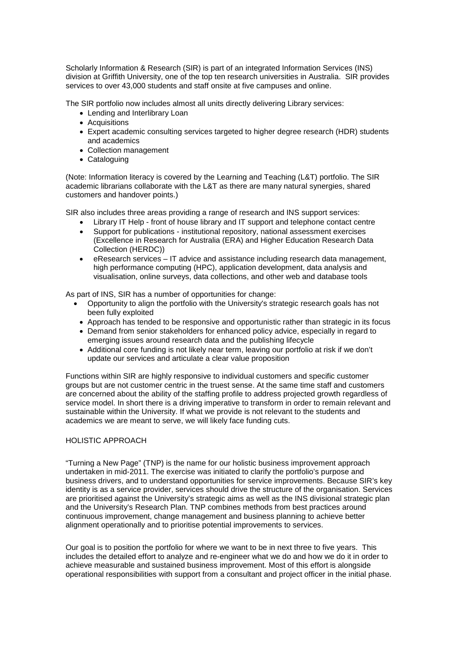Scholarly Information & Research (SIR) is part of an integrated Information Services (INS) division at Griffith University, one of the top ten research universities in Australia. SIR provides services to over 43,000 students and staff onsite at five campuses and online.

The SIR portfolio now includes almost all units directly delivering Library services:

- Lending and Interlibrary Loan
- Acquisitions
- Expert academic consulting services targeted to higher degree research (HDR) students and academics
- Collection management
- Cataloguing

(Note: Information literacy is covered by the Learning and Teaching (L&T) portfolio. The SIR academic librarians collaborate with the L&T as there are many natural synergies, shared customers and handover points.)

SIR also includes three areas providing a range of research and INS support services:

- Library IT Help front of house library and IT support and telephone contact centre
- Support for publications institutional repository, national assessment exercises (Excellence in Research for Australia (ERA) and Higher Education Research Data Collection (HERDC))
- eResearch services IT advice and assistance including research data management, high performance computing (HPC), application development, data analysis and visualisation, online surveys, data collections, and other web and database tools

As part of INS, SIR has a number of opportunities for change:

- Opportunity to align the portfolio with the University's strategic research goals has not been fully exploited
- Approach has tended to be responsive and opportunistic rather than strategic in its focus
- Demand from senior stakeholders for enhanced policy advice, especially in regard to emerging issues around research data and the publishing lifecycle
- Additional core funding is not likely near term, leaving our portfolio at risk if we don't update our services and articulate a clear value proposition

Functions within SIR are highly responsive to individual customers and specific customer groups but are not customer centric in the truest sense. At the same time staff and customers are concerned about the ability of the staffing profile to address projected growth regardless of service model. In short there is a driving imperative to transform in order to remain relevant and sustainable within the University. If what we provide is not relevant to the students and academics we are meant to serve, we will likely face funding cuts.

# HOLISTIC APPROACH

"Turning a New Page" (TNP) is the name for our holistic business improvement approach undertaken in mid-2011. The exercise was initiated to clarify the portfolio's purpose and business drivers, and to understand opportunities for service improvements. Because SIR's key identity is as a service provider, services should drive the structure of the organisation. Services are prioritised against the University's strategic aims as well as the INS divisional strategic plan and the University's Research Plan. TNP combines methods from best practices around continuous improvement, change management and business planning to achieve better alignment operationally and to prioritise potential improvements to services.

Our goal is to position the portfolio for where we want to be in next three to five years. This includes the detailed effort to analyze and re-engineer what we do and how we do it in order to achieve measurable and sustained business improvement. Most of this effort is alongside operational responsibilities with support from a consultant and project officer in the initial phase.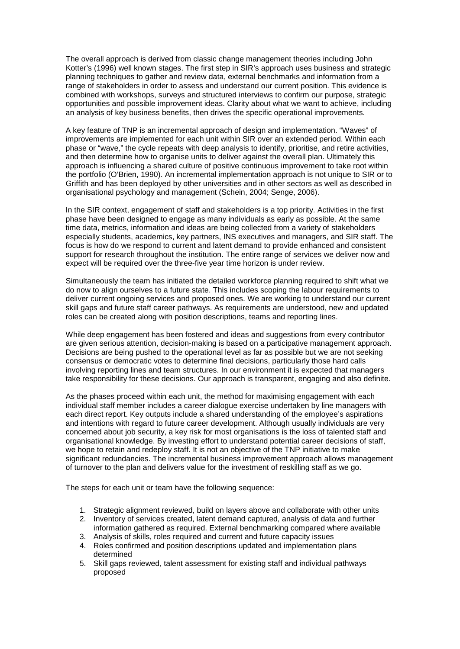The overall approach is derived from classic change management theories including John Kotter's (1996) well known stages. The first step in SIR's approach uses business and strategic planning techniques to gather and review data, external benchmarks and information from a range of stakeholders in order to assess and understand our current position. This evidence is combined with workshops, surveys and structured interviews to confirm our purpose, strategic opportunities and possible improvement ideas. Clarity about what we want to achieve, including an analysis of key business benefits, then drives the specific operational improvements.

A key feature of TNP is an incremental approach of design and implementation. "Waves" of improvements are implemented for each unit within SIR over an extended period. Within each phase or "wave," the cycle repeats with deep analysis to identify, prioritise, and retire activities, and then determine how to organise units to deliver against the overall plan. Ultimately this approach is influencing a shared culture of positive continuous improvement to take root within the portfolio (O'Brien, 1990). An incremental implementation approach is not unique to SIR or to Griffith and has been deployed by other universities and in other sectors as well as described in organisational psychology and management (Schein, 2004; Senge, 2006).

In the SIR context, engagement of staff and stakeholders is a top priority. Activities in the first phase have been designed to engage as many individuals as early as possible. At the same time data, metrics, information and ideas are being collected from a variety of stakeholders especially students, academics, key partners, INS executives and managers, and SIR staff. The focus is how do we respond to current and latent demand to provide enhanced and consistent support for research throughout the institution. The entire range of services we deliver now and expect will be required over the three-five year time horizon is under review.

Simultaneously the team has initiated the detailed workforce planning required to shift what we do now to align ourselves to a future state. This includes scoping the labour requirements to deliver current ongoing services and proposed ones. We are working to understand our current skill gaps and future staff career pathways. As requirements are understood, new and updated roles can be created along with position descriptions, teams and reporting lines.

While deep engagement has been fostered and ideas and suggestions from every contributor are given serious attention, decision-making is based on a participative management approach. Decisions are being pushed to the operational level as far as possible but we are not seeking consensus or democratic votes to determine final decisions, particularly those hard calls involving reporting lines and team structures. In our environment it is expected that managers take responsibility for these decisions. Our approach is transparent, engaging and also definite.

As the phases proceed within each unit, the method for maximising engagement with each individual staff member includes a career dialogue exercise undertaken by line managers with each direct report. Key outputs include a shared understanding of the employee's aspirations and intentions with regard to future career development. Although usually individuals are very concerned about job security, a key risk for most organisations is the loss of talented staff and organisational knowledge. By investing effort to understand potential career decisions of staff, we hope to retain and redeploy staff. It is not an objective of the TNP initiative to make significant redundancies. The incremental business improvement approach allows management of turnover to the plan and delivers value for the investment of reskilling staff as we go.

The steps for each unit or team have the following sequence:

- 1. Strategic alignment reviewed, build on layers above and collaborate with other units
- 2. Inventory of services created, latent demand captured, analysis of data and further information gathered as required. External benchmarking compared where available
- 3. Analysis of skills, roles required and current and future capacity issues
- 4. Roles confirmed and position descriptions updated and implementation plans determined
- 5. Skill gaps reviewed, talent assessment for existing staff and individual pathways proposed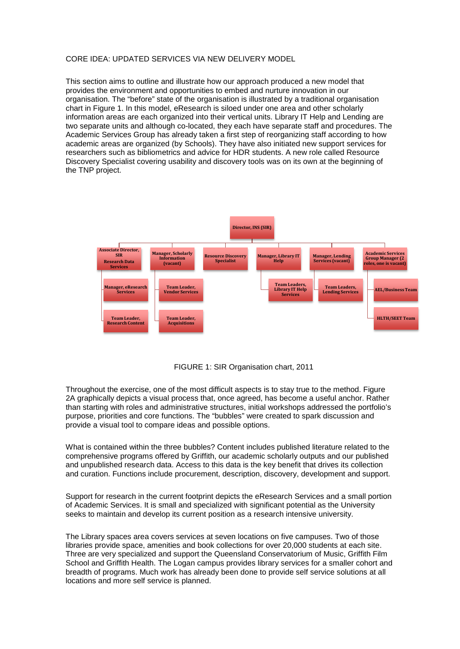#### CORE IDEA: UPDATED SERVICES VIA NEW DELIVERY MODEL

This section aims to outline and illustrate how our approach produced a new model that provides the environment and opportunities to embed and nurture innovation in our organisation. The "before" state of the organisation is illustrated by a traditional organisation chart in Figure 1. In this model, eResearch is siloed under one area and other scholarly information areas are each organized into their vertical units. Library IT Help and Lending are two separate units and although co-located, they each have separate staff and procedures. The Academic Services Group has already taken a first step of reorganizing staff according to how academic areas are organized (by Schools). They have also initiated new support services for researchers such as bibliometrics and advice for HDR students. A new role called Resource Discovery Specialist covering usability and discovery tools was on its own at the beginning of the TNP project.



FIGURE 1: SIR Organisation chart, 2011

Throughout the exercise, one of the most difficult aspects is to stay true to the method. Figure 2A graphically depicts a visual process that, once agreed, has become a useful anchor. Rather than starting with roles and administrative structures, initial workshops addressed the portfolio's purpose, priorities and core functions. The "bubbles" were created to spark discussion and provide a visual tool to compare ideas and possible options.

What is contained within the three bubbles? Content includes published literature related to the comprehensive programs offered by Griffith, our academic scholarly outputs and our published and unpublished research data. Access to this data is the key benefit that drives its collection and curation. Functions include procurement, description, discovery, development and support.

Support for research in the current footprint depicts the eResearch Services and a small portion of Academic Services. It is small and specialized with significant potential as the University seeks to maintain and develop its current position as a research intensive university.

The Library spaces area covers services at seven locations on five campuses. Two of those libraries provide space, amenities and book collections for over 20,000 students at each site. Three are very specialized and support the Queensland Conservatorium of Music, Griffith Film School and Griffith Health. The Logan campus provides library services for a smaller cohort and breadth of programs. Much work has already been done to provide self service solutions at all locations and more self service is planned.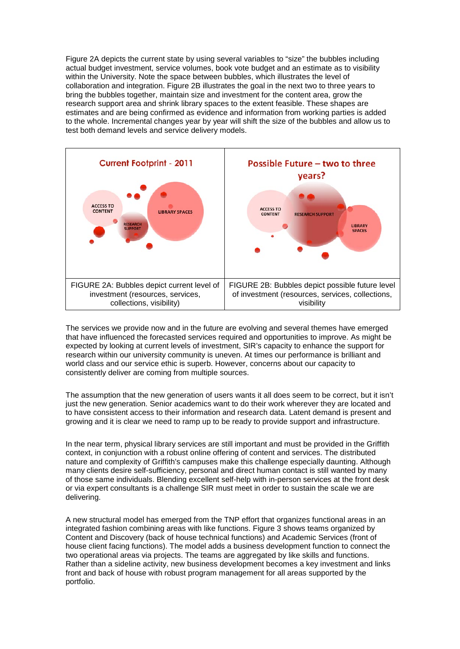Figure 2A depicts the current state by using several variables to "size" the bubbles including actual budget investment, service volumes, book vote budget and an estimate as to visibility within the University. Note the space between bubbles, which illustrates the level of collaboration and integration. Figure 2B illustrates the goal in the next two to three years to bring the bubbles together, maintain size and investment for the content area, grow the research support area and shrink library spaces to the extent feasible. These shapes are estimates and are being confirmed as evidence and information from working parties is added to the whole. Incremental changes year by year will shift the size of the bubbles and allow us to test both demand levels and service delivery models.



The services we provide now and in the future are evolving and several themes have emerged that have influenced the forecasted services required and opportunities to improve. As might be expected by looking at current levels of investment, SIR's capacity to enhance the support for research within our university community is uneven. At times our performance is brilliant and world class and our service ethic is superb. However, concerns about our capacity to consistently deliver are coming from multiple sources.

The assumption that the new generation of users wants it all does seem to be correct, but it isn't just the new generation. Senior academics want to do their work wherever they are located and to have consistent access to their information and research data. Latent demand is present and growing and it is clear we need to ramp up to be ready to provide support and infrastructure.

In the near term, physical library services are still important and must be provided in the Griffith context, in conjunction with a robust online offering of content and services. The distributed nature and complexity of Griffith's campuses make this challenge especially daunting. Although many clients desire self-sufficiency, personal and direct human contact is still wanted by many of those same individuals. Blending excellent self-help with in-person services at the front desk or via expert consultants is a challenge SIR must meet in order to sustain the scale we are delivering.

A new structural model has emerged from the TNP effort that organizes functional areas in an integrated fashion combining areas with like functions. Figure 3 shows teams organized by Content and Discovery (back of house technical functions) and Academic Services (front of house client facing functions). The model adds a business development function to connect the two operational areas via projects. The teams are aggregated by like skills and functions. Rather than a sideline activity, new business development becomes a key investment and links front and back of house with robust program management for all areas supported by the portfolio.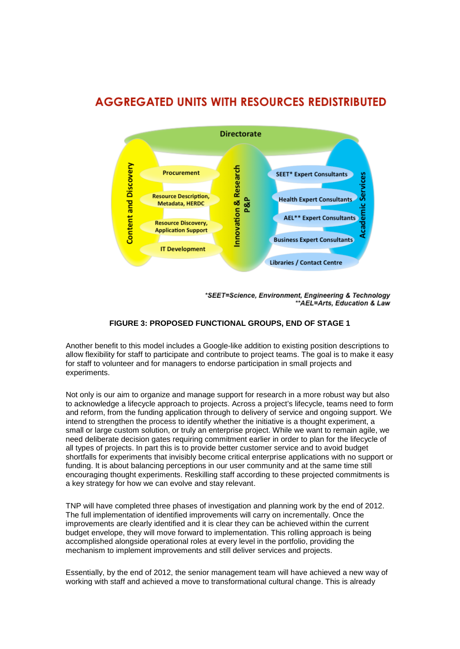# **AGGREGATED UNITS WITH RESOURCES REDISTRIBUTED**



\*SEET=Science, Environment, Engineering & Technology \*\*AEL=Arts, Education & Law

# **FIGURE 3: PROPOSED FUNCTIONAL GROUPS, END OF STAGE 1**

Another benefit to this model includes a Google-like addition to existing position descriptions to allow flexibility for staff to participate and contribute to project teams. The goal is to make it easy for staff to volunteer and for managers to endorse participation in small projects and experiments.

Not only is our aim to organize and manage support for research in a more robust way but also to acknowledge a lifecycle approach to projects. Across a project's lifecycle, teams need to form and reform, from the funding application through to delivery of service and ongoing support. We intend to strengthen the process to identify whether the initiative is a thought experiment, a small or large custom solution, or truly an enterprise project. While we want to remain agile, we need deliberate decision gates requiring commitment earlier in order to plan for the lifecycle of all types of projects. In part this is to provide better customer service and to avoid budget shortfalls for experiments that invisibly become critical enterprise applications with no support or funding. It is about balancing perceptions in our user community and at the same time still encouraging thought experiments. Reskilling staff according to these projected commitments is a key strategy for how we can evolve and stay relevant.

TNP will have completed three phases of investigation and planning work by the end of 2012. The full implementation of identified improvements will carry on incrementally. Once the improvements are clearly identified and it is clear they can be achieved within the current budget envelope, they will move forward to implementation. This rolling approach is being accomplished alongside operational roles at every level in the portfolio, providing the mechanism to implement improvements and still deliver services and projects.

Essentially, by the end of 2012, the senior management team will have achieved a new way of working with staff and achieved a move to transformational cultural change. This is already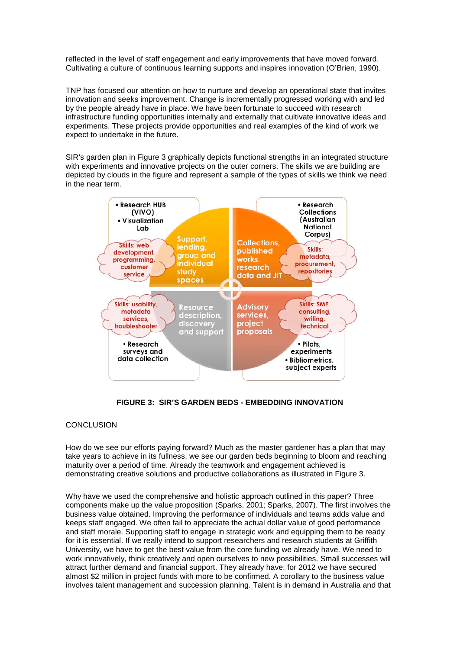reflected in the level of staff engagement and early improvements that have moved forward. Cultivating a culture of continuous learning supports and inspires innovation (O'Brien, 1990).

TNP has focused our attention on how to nurture and develop an operational state that invites innovation and seeks improvement. Change is incrementally progressed working with and led by the people already have in place. We have been fortunate to succeed with research infrastructure funding opportunities internally and externally that cultivate innovative ideas and experiments. These projects provide opportunities and real examples of the kind of work we expect to undertake in the future.

SIR's garden plan in Figure 3 graphically depicts functional strengths in an integrated structure with experiments and innovative projects on the outer corners. The skills we are building are depicted by clouds in the figure and represent a sample of the types of skills we think we need in the near term.



# **FIGURE 3: SIR'S GARDEN BEDS - EMBEDDING INNOVATION**

# CONCLUSION

How do we see our efforts paying forward? Much as the master gardener has a plan that may take years to achieve in its fullness, we see our garden beds beginning to bloom and reaching maturity over a period of time. Already the teamwork and engagement achieved is demonstrating creative solutions and productive collaborations as illustrated in Figure 3.

Why have we used the comprehensive and holistic approach outlined in this paper? Three components make up the value proposition (Sparks, 2001; Sparks, 2007). The first involves the business value obtained. Improving the performance of individuals and teams adds value and keeps staff engaged. We often fail to appreciate the actual dollar value of good performance and staff morale. Supporting staff to engage in strategic work and equipping them to be ready for it is essential. If we really intend to support researchers and research students at Griffith University, we have to get the best value from the core funding we already have. We need to work innovatively, think creatively and open ourselves to new possibilities. Small successes will attract further demand and financial support. They already have: for 2012 we have secured almost \$2 million in project funds with more to be confirmed. A corollary to the business value involves talent management and succession planning. Talent is in demand in Australia and that